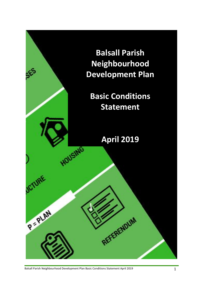

Balsall Parish Neighbourhood Development Plan Basic Conditions Statement April 2019 19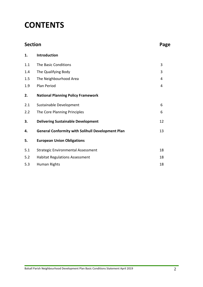# **CONTENTS**

| <b>Section</b> |                                                          | Page |
|----------------|----------------------------------------------------------|------|
| 1.             | Introduction                                             |      |
| 1.1            | The Basic Conditions                                     | 3    |
| 1.4            | The Qualifying Body                                      | 3    |
| 1.5            | The Neighbourhood Area                                   | 4    |
| 1.9            | Plan Period                                              | 4    |
| 2.             | <b>National Planning Policy Framework</b>                |      |
| 2.1            | Sustainable Development                                  | 6    |
| 2.2            | The Core Planning Principles                             | 6    |
| 3.             | <b>Delivering Sustainable Development</b>                | 12   |
| 4.             | <b>General Conformity with Solihull Development Plan</b> | 13   |
| 5.             | <b>European Union Obligations</b>                        |      |
| 5.1            | <b>Strategic Environmental Assessment</b>                | 18   |
| 5.2            | <b>Habitat Regulations Assessment</b>                    | 18   |
| 5.3            | Human Rights                                             | 18   |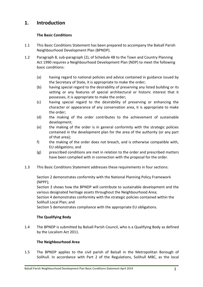# **1. Introduction**

# **The Basic Conditions**

- 1.1 This Basic Conditions Statement has been prepared to accompany the Balsall Parish Neighbourhood Development Plan (BPNDP).
- 1.2 Paragraph 8, sub-paragraph (2), of Schedule 4B to the Town and Country Planning Act 1990 requires a Neighbourhood Development Plan (NDP) to meet the following basic conditions:
	- (a) having regard to national policies and advice contained in guidance issued by the Secretary of State, it is appropriate to make the order;
	- (b) having special regard to the desirability of preserving any listed building or its setting or any features of special architectural or historic interest that it possesses, it is appropriate to make the order;
	- (c) having special regard to the desirability of preserving or enhancing the character or appearance of any conservation area, it is appropriate to make the order;
	- (d) the making of the order contributes to the achievement of sustainable development;
	- (e) the making of the order is in general conformity with the strategic policies contained in the development plan for the area of the authority (or any part of that area);
	- f) the making of the order does not breach, and is otherwise compatible with, EU obligations; and
	- (g) prescribed conditions are met in relation to the order and prescribed matters have been complied with in connection with the proposal for the order.
- 1.3 This Basic Conditions Statement addresses these requirements in four sections:

Section 2 demonstrates conformity with the National Planning Policy Framework (NPPF);

Section 3 shows how the BPNDP will contribute to sustainable development and the various designated heritage assets throughout the Neighbourhood Area;

Section 4 demonstrates conformity with the strategic policies contained within the Solihull Local Plan; and

Section 5 demonstrates compliance with the appropriate EU obligations.

# **The Qualifying Body**

1.4 The BPNDP is submitted by Balsall Parish Council, who is a Qualifying Body as defined by the Localism Act 2011.

# **The Neighbourhood Area**

1.5 The BPNDP applies to the civil parish of Balsall in the Metropolitan Borough of Solihull. In accordance with Part 2 of the Regulations, Solihull MBC, as the local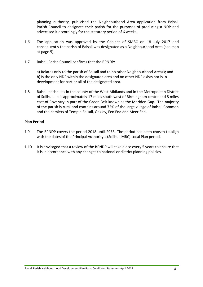planning authority, publicised the Neighbourhood Area application from Balsall Parish Council to designate their parish for the purposes of producing a NDP and advertised it accordingly for the statutory period of 6 weeks.

- 1.6 The application was approved by the Cabinet of SMBC on 18 July 2017 and consequently the parish of Balsall was designated as a Neighbourhood Area (see map at page 5).
- 1.7 Balsall Parish Council confirms that the BPNDP:

a) Relates only to the parish of Balsall and to no other Neighbourhood Area/s; and b) Is the only NDP within the designated area and no other NDP exists nor is in development for part or all of the designated area.

1.8 Balsall parish lies in the county of the West Midlands and in the Metropolitan District of Solihull. It is approximately 17 miles south west of Birmingham centre and 8 miles east of Coventry in part of the Green Belt known as the Meriden Gap. The majority of the parish is rural and contains around 75% of the large village of Balsall Common and the hamlets of Temple Balsall, Oakley, Fen End and Meer End.

# **Plan Period**

- 1.9 The BPNDP covers the period 2018 until 2033. The period has been chosen to align with the dates of the Principal Authority's (Solihull MBC) Local Plan period.
- 1.10 It is envisaged that a review of the BPNDP will take place every 5 years to ensure that it is in accordance with any changes to national or district planning policies.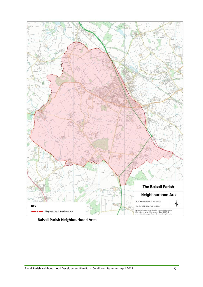

**Balsall Parish Neighbourhood Area**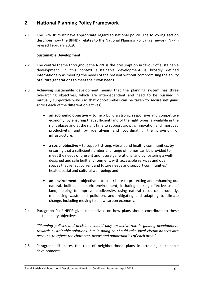# **2. National Planning Policy Framework**

2.1 The BPNDP must have appropriate regard to national policy. The following section describes how the BPNDP relates to the National Planning Policy Framework (NPPF) revised February 2019.

# **Sustainable Development**

- 2.2 The central theme throughout the NPPF is the presumption in favour of sustainable development. In this context sustainable development is broadly defined internationally as meeting the needs of the present without compromising the ability of future generations to meet their own needs.
- 2.3 Achieving sustainable development means that the planning system has three overarching objectives, which are interdependent and need to be pursued in mutually supportive ways (so that opportunities can be taken to secure net gains across each of the different objectives).
	- **an economic objective** to help build a strong, responsive and competitive economy, by ensuring that sufficient land of the right types is available in the right places and at the right time to support growth, innovation and improved productivity; and by identifying and coordinating the provision of infrastructure;
	- **a social objective** to support strong, vibrant and healthy communities, by ensuring that a sufficient number and range of homes can be provided to meet the needs of present and future generations; and by fostering a welldesigned and safe built environment, with accessible services and open spaces that reflect current and future needs and support communities' health, social and cultural well-being; and
	- **an environmental objective** to contribute to protecting and enhancing our natural, built and historic environment; including making effective use of land, helping to improve biodiversity, using natural resources prudently, minimising waste and pollution, and mitigating and adapting to climate change, including moving to a low carbon economy.
- 2.4 Paragraph 9 of NPPF gives clear advice on how plans should contribute to these sustainability objectives:

*"Planning policies and decisions should play an active role in guiding development towards sustainable solutions, but in doing so should take local circumstances into account, to reflect the character, needs and opportunities of each area."*

2.5 Paragraph 13 states the role of neighbourhood plans in attaining sustainable development: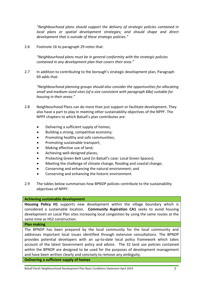*"Neighbourhood plans should support the delivery of strategic policies contained in local plans or spatial development strategies; and should shape and direct development that is outside of these strategic policies."*

2.6 Footnote 16 to paragraph 29 notes that:

*"Neighbourhood plans must be in general conformity with the strategic policies contained in any development plan that covers their area."*

2.7 In addition to contributing to the borough's strategic development plan, Paragraph 69 adds that:

*"Neighbourhood planning groups should also consider the opportunities for allocating small and medium-sized sites (of a size consistent with paragraph 68a) suitable for housing in their areas."*

- 2.8 Neighbourhood Plans can do more than just support or facilitate development. They also have a part to play in meeting other sustainability objectives of the NPPF. The NPPF chapters to which Balsall's plan contributes are:
	- Delivering a sufficient supply of homes;
	- Building a strong, competitive economy;
	- Promoting healthy and safe communities;
	- Promoting sustainable transport;
	- Making effective use of land;
	- Achieving well-designed places;
	- Protecting Green Belt Land (in Balsall's case: Local Green Spaces);
	- Meeting the challenge of climate change, flooding and coastal change;
	- Conserving and enhancing the natural environment; and
	- Conserving and enhancing the historic environment.
- 2.9 The tables below summarises how BPNDP policies contribute to the sustainability objectives of NPPF:

#### **Achieving sustainable development**

**Housing Policy H1** supports new development within the village boundary which is considered a sustainable location. **Community Aspiration CA1** seeks to avoid housing development on Local Plan sites increasing local congestion by using the same routes at the same time as HS2 construction.

#### **Plan making**

The BPNDP has been prepared by the local community for the local community and addresses important local issues identified through extensive consultations. The BPNDP provides potential developers with an up-to-date local policy framework which takes account of the latest Government policy and advice. The 32 land use policies contained within the BPNDP are designed to be used for the purposes of development management and have been written clearly and concisely to remove any ambiguity.

**Delivering a sufficient supply of homes**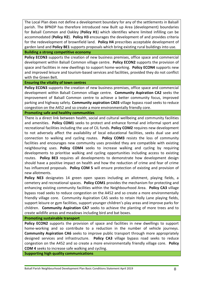The Local Plan does not define a development boundary for any of the settlements in Balsall parish. The BPNDP has therefore introduced new Built up Area (development) boundaries for Balsall Common and Oakley (**Policy H1**) which identifies where limited infilling can be accommodated (**Policy H2**). **Policy H3** encourages the development of and provides criteria for the redevelopment of brownfield land. **Policy H4** prescribes acceptable development of garden land and **Policy BE1** supports proposals which bring existing rural buildings into use.

## **Building a strong competitive economy**

Policy ECON3 supports the creation of new business premises, office space and commercial development within Balsall Common village centre. **Policy ECON2** supports the provision of space and facilities in new dwellings to support home-working. **Policy ECON4** supports new and improved leisure and tourism-based services and facilities, provided they do not conflict with the Green Belt.

#### **Ensuring the vitality of town centres**

**Policy ECON3** supports the creation of new business premises, office space and commercial development within Balsall Common village centre. **Community Aspiration CA2** seeks the improvement of Balsall Common centre to achieve a better community focus, improved parking and highway safety. **Community aspiration CA03** village bypass road seeks to reduce congestion on the A452 and so create a more environmentally friendly core.

#### **Promoting safe and healthy communities**

There is a direct link between health, social and cultural wellbeing and community facilities and amenities. **Policy COM1** seeks to protect and enhance formal and informal sport and recreational facilities including the use of CIL funds. **Policy COM2** requires new development to not adversely affect the availability of local educational facilities, seeks dual use and connection to walking and cycling routes. **Policy COM3** resists the loss of community facilities and encourages new community uses provided they are compatible with existing neighbouring uses. **Policy COM4** seeks to increase walking and cycling by requiring developments to prioritise walking and cycling opportunities including access to existing routes. **Policy BE3** requires all developments to demonstrate how development design should have a positive impact on health and how the reduction of crime and fear of crime has influenced proposals. **Policy COM 5** will ensure protection of existing and provision of new allotments.

**Policy NE3** designates 14 green open spaces including an allotment, playing fields, a cemetery and recreational spaces. **Policy COM1** provides the mechanism for protecting and enhancing existing community facilities within the Neighbourhood Area. **Policy CA3** village bypass road seeks to reduce congestion on the A452 and so create a more environmentally friendly village core. Community Aspiration CA5 seeks to retain Holly Lane playing fields, support leisure or gym facilities, support younger children's play areas and improve parks for children. **Community Aspiration CA7** seeks to achieve the planting of more trees and to create wildlife areas and meadows including bird and bat boxes.

## **Promoting sustainable transport**

**Policy ECON2** supports the provision of space and facilities in new dwellings to support home-working and so contribute to a reduction in the number of vehicle journeys. **Community Aspiration CA6** seeks to improve public transport through more appropriately designed services and infrastructure. **Policy CA3** village bypass road seeks to reduce congestion on the A452 and so create a more environmentally friendly village core. **Policy COM 4** seeks to increase safe walking and cycling.

**Supporting high quality communications**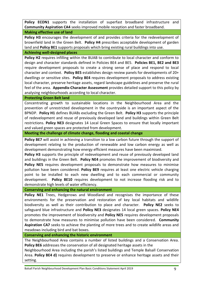**Policy ECON1** supports the installation of superfast broadband infrastructure and **Community Aspiration CA4** seeks improved mobile reception and faster broadband.

# **Making effective use of land**

Policy H3 encourages the development of and provides criteria for the redevelopment of brownfield land in the Green Belt. **Policy H4** prescribes acceptable development of garden land and **Policy BE1** supports proposals which bring existing rural buildings into use.

# **Achieving well-designed places**

**Policy H2** requires infilling within the BUAB to contribute to local character and conform to design and character standards defined in Policies BE4 and BE5. **Policies BE1, BE2 and BE3** require development proposals to create a strong sense of place and respond to local character and context. **Policy BE5** establishes design review panels for developments of 20+ dwellings or sensitive sites. **Policy BE4** requires development proposals to address existing local character, preserve heritage assets, regard landscape guidelines and preserve the rural feel of the area. **Appendix-Character Assessment** provides detailed support to this policy by analysing neighbourhoods according to local character.

# **Protecting Green Belt land**

Concentrating growth to sustainable locations in the Neighbourhood Area and the prevention of unrestricted development in the countryside is an important aspect of the BPNDP. **Policy H1** defines BUABs excluding the Green Belt. **Policy H3** supports the principle of redevelopment and reuse of previously developed land and buildings within Green Belt restrictions. **Policy NE3** designates 14 Local Green Spaces to ensure that locally important and valued green spaces are protected from development.

**Meeting the challenge of climate change, flooding and coastal change**

**Policy BE7** will assist in achieving a transition to a low carbon future through the support of development relating to the production of renewable and low carbon energy as well as development demonstrating how energy efficient measures have been maximised.

**Policy H3** supports the principle of redevelopment and reuse of previously developed land and buildings in the Green Belt. **Policy NE4** promotes the improvement of biodiversity and Policy NE5 requires development proposals to demonstrate how measures to minimise pollution have been considered. **Policy BE9** requires at least one electric vehicle charging point to be installed to each new dwelling and to each commercial or community development. **Policy BE10** requires development to not increase flooding risk and to demonstrate high levels of water efficiency.

**Conserving and enhancing the natural environment**

Policy NE1 Trees, Hedgerows and Woodland and recognises the importance of these environments for the preservation and restoration of key local habitats and wildlife biodiversity as well as their contribution to place and character. **Policy NE2** seeks to safeguard blue infrastructure and **Policy NE3** designates 14 local green spaces. **Policy NE4** promotes the improvement of biodiversity and **Policy NE5** requires development proposals to demonstrate how measures to minimise pollution have been considered. **Community Aspiration CA7** seeks to achieve the planting of more trees and to create wildlife areas and meadows including bird and bat boxes.

**Conserving and enhancing the historic environment**

The Neighbourhood Area contains a number of listed buildings and a Conservation Area. **Policy BE6** addresses the conservation of all designated heritage assets in the

Neighbourhood Area including the parish's listed buildings and Temple Balsall Conservation Area. **Policy BE4 d)** requires development to preserve or enhance heritage assets and their setting.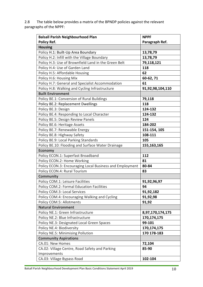2.8 The table below provides a matrix of the BPNDP policies against the relevant paragraphs of the NPPF:

| <b>Balsall Parish Neighbourhood Plan</b>                 | <b>NPPF</b>      |
|----------------------------------------------------------|------------------|
| Policy Ref.                                              | Paragraph Ref.   |
| <b>Housing</b>                                           |                  |
| Policy H.1: Built-Up Area Boundary                       | 13,78,79         |
| Policy H.2: Infill with the Village Boundary             | 13,78,79         |
| Policy H.3: Use of Brownfield Land in the Green Belt     | 79,118,121       |
| Policy H.4: Use of Garden Land                           | 118              |
| Policy H.5: Affordable Housing                           | 62               |
| Policy H.6: Housing Mix                                  | 60-62, 71        |
| Policy H.7: General and Specialist Accommodation         | 61               |
| Policy H.8: Walking and Cycling Infrastructure           | 91,92,98,104,110 |
| <b>Built Environment</b>                                 |                  |
| Policy BE.1: Conversion of Rural Buildings               | 79,118           |
| <b>Policy BE.2: Replacement Dwellings</b>                | 118              |
| Policy BE.3: Design                                      | 124-132          |
| Policy BE.4: Responding to Local Character               | 124-132          |
| Policy BE.5: Design Review Panels                        | 124              |
| Policy BE.6: Heritage Assets                             | 184-202          |
| Policy BE.7: Renewable Energy                            | 151-154, 105     |
| Policy BE.8: Highway Safety                              | 108-111          |
| Policy BE.9: Local Parking Standards                     | 105              |
| Policy BE.10: Flooding and Surface Water Drainage        | 155,163,165      |
| <b>Economy</b>                                           |                  |
| Policy ECON.1: Superfast Broadband                       | 112              |
| Policy ECON.2: Home Working                              | 81               |
| Policy ECON.3: Encouraging Local Business and Employment | 80-84            |
| Policy ECON.4: Rural Tourism                             | 83               |
| <b>Community</b>                                         |                  |
| Policy COM.1: Leisure Facilities                         | 91,92,96,97      |
| Policy COM.2: Formal Education Facilities                | 94               |
| Policy COM.3: Local Services                             | 91,92,182        |
| Policy COM.4: Encouraging Walking and Cycling            | 91,92,98         |
| Policy COM.5: Allotments                                 | 91,92            |
| <b>Natural Environment</b>                               |                  |
| Policy NE.1: Green Infrastructure                        | 8,97,170,174,175 |
| Policy NE.2: Blue Infrastructure                         | 170,174,175      |
| Policy NE.3: Designated Local Green Spaces               | 99-101           |
| Policy NE.4: Biodiversity                                | 170,174,175      |
| Policy NE.5: Minimising Pollution                        | 170 178-183      |
| <b>Community Aspirations</b>                             |                  |
| CA.01: New Homes                                         | 72,104           |
| CA.02: Village Centre, Road Safety and Parking           | 85-90            |
| Improvements                                             |                  |
| CA.03: Village Bypass Road                               | 102-104          |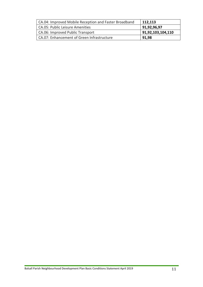| CA.04: Improved Mobile Reception and Faster Broadband | 112,113           |
|-------------------------------------------------------|-------------------|
| CA.05: Public Leisure Amenities                       | 91,92,96,97       |
| CA.06: Improved Public Transport                      | 91,92,103,104,110 |
| CA.07: Enhancement of Green Infrastructure            | 91,98             |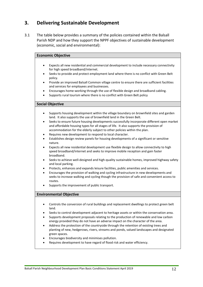# **3. Delivering Sustainable Development**

3.1 The table below provides a summary of the policies contained within the Balsall Parish NDP and how they support the NPPF objectives of sustainable development (economic, social and environmental):

| <b>Economic Objective</b> |                                                                                                                                                                                                                                                                                       |  |
|---------------------------|---------------------------------------------------------------------------------------------------------------------------------------------------------------------------------------------------------------------------------------------------------------------------------------|--|
|                           |                                                                                                                                                                                                                                                                                       |  |
|                           | Expects all new residential and commercial development to include necessary connectivity<br>for high speed broadband/internet.                                                                                                                                                        |  |
| $\bullet$                 | Seeks to provide and protect employment land where there is no conflict with Green Belt<br>policy.                                                                                                                                                                                    |  |
| $\bullet$                 | Provide an improved Balsall Common village centre to ensure there are sufficient facilities<br>and services for employees and businesses.                                                                                                                                             |  |
| ٠<br>$\bullet$            | Encourages home-working through the use of flexible design and broadband cabling.<br>Supports rural tourism where there is no conflict with Green Belt policy                                                                                                                         |  |
|                           |                                                                                                                                                                                                                                                                                       |  |
|                           | <b>Social Objective</b>                                                                                                                                                                                                                                                               |  |
| $\bullet$                 | Supports housing development within the village boundary on brownfield sites and garden<br>land. It also supports the use of brownfield land in the Green Belt.<br>Seeks to ensure future housing developments successfully incorporate different open market                         |  |
|                           | and affordable housing types for all stages of life. It also supports the provision of<br>accommodation for the elderly subject to other policies within the plan.                                                                                                                    |  |
| $\bullet$                 | Requires new development to respond to local character.<br>Establishes design review panels for housing developments of a significant or sensitive<br>nature.                                                                                                                         |  |
| $\bullet$                 | Expects all new residential development use flexible design to allow connectivity to high<br>speed broadband/internet and seeks to improve mobile reception and gain faster<br>broadband.                                                                                             |  |
|                           | Seeks to achieve well-designed and high-quality sustainable homes, improved highway safety<br>and local parking.                                                                                                                                                                      |  |
| $\bullet$<br>$\bullet$    | Protects, enhances and expands leisure facilities, public amenities and services.<br>Encourages the provision of walking and cycling infrastructure in new developments and<br>seeks to increase walking and cycling though the provision of safe and convenient access to<br>routes. |  |
|                           | Supports the improvement of public transport.                                                                                                                                                                                                                                         |  |
|                           | <b>Environmental Objective</b>                                                                                                                                                                                                                                                        |  |
|                           |                                                                                                                                                                                                                                                                                       |  |
|                           | Controls the conversion of rural buildings and replacement dwellings to protect green belt<br>land.                                                                                                                                                                                   |  |
|                           | Seeks to control development adjacent to heritage assets or within the conservation area.<br>Supports development proposals relating to the production of renewable and low carbon                                                                                                    |  |
|                           | energy provided they do not have an adverse impact on the character of the area.                                                                                                                                                                                                      |  |
|                           | Address the protection of the countryside through the retention of existing trees and<br>planting of new, hedgerows, rivers, streams and ponds, valued landscapes and designated<br>green spaces.                                                                                     |  |
|                           | Encourages biodiversity and minimises pollution.<br>Requires development to have regard of flood risk and water efficiency.                                                                                                                                                           |  |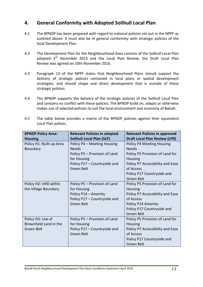# **4. General Conformity with Adopted Solihull Local Plan**

- 4.1 The BPNDP has been prepared with regard to national policies set out in the NPPF as outlined above. It must also be in general conformity with strategic policies of the local Development Plan.
- 4.2 The Development Plan for the Neighbourhood Area consists of the Solihull Local Plan adopted 3<sup>rd</sup> December 2013 and the Local Plan Review, the Draft Local Plan [Review](http://www.solihull.gov.uk/Portals/0/Planning/LPR/Draft_Local_Plan_05.12.16.pdf) was agreed on 10th November 2016.
- 4.3 Paragraph 13 of the NPPF states that Neighbourhood Plans should support the delivery of strategic policies contained in local plans or spatial development strategies; and should shape and direct development that is outside of these strategic policies.
- 4.4 The BPNDP supports the delivery of the strategic policies of the Solihull Local Plan and contains no conflict with these policies. The BPNDP build on, adapts or otherwise makes use of selected policies to suit the local environment and economy of Balsall.
- 4.5 The table below provides a matrix of the BPNDP policies against their equivalent Local Plan polices.

| <b>BPNDP Policy Area:</b> | <b>Relevant Policies in adopted</b> | <b>Relevant Policies in approved</b> |
|---------------------------|-------------------------------------|--------------------------------------|
| <b>Housing</b>            | <b>Solihull Local Plan (SLP)</b>    | <b>Draft Local Plan Review (LPR)</b> |
| Policy H1: Built-up Area  | Policy P4 - Meeting Housing         | Policy P4 Meeting Housing            |
| Boundary                  | <b>Needs</b>                        | <b>Needs</b>                         |
|                           | Policy P5 - Provision of Land       | Policy P5 Provision of Land for      |
|                           | for Housing                         | <b>Housing</b>                       |
|                           | Policy P17 - Countryside and        | Policy P7 Accessibility and Ease     |
|                           | Green Belt                          | of Access                            |
|                           |                                     | Policy P17 Countryside and           |
|                           |                                     | Green Belt                           |
| Policy H2: Infill within  | Policy P5 - Provision of Land       | Policy P5 Provision of Land for      |
| the Village Boundary      | for Housing                         | <b>Housing</b>                       |
|                           | Policy P14 - Amenity                | Policy P7 Accessibility and Ease     |
|                           | Policy P17 - Countryside and        | of Access                            |
|                           | <b>Green Belt</b>                   | Policy P14 Amenity                   |
|                           |                                     | Policy P17 Countryside and           |
|                           |                                     | Green Belt                           |
| Policy H3: Use of         | Policy P5 - Provision of Land       | Policy P5 Provision of Land for      |
| Brownfield Land in the    | for Housing                         | <b>Housing</b>                       |
| Green Belt                | Policy P17 - Countryside and        | Policy P7 Accessibility and Ease     |
|                           | Green Belt                          | of Access                            |
|                           |                                     | Policy P17 Countryside and           |
|                           |                                     | Green Belt                           |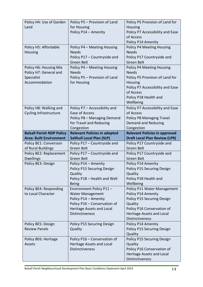| Policy H4: Use of Garden         | Policy P5 - Provision of Land                       | Policy P5 Provision of Land for                         |
|----------------------------------|-----------------------------------------------------|---------------------------------------------------------|
| Land                             | for Housing                                         | <b>Housing</b>                                          |
|                                  | Policy P14 - Amenity                                | Policy P7 Accessibility and Ease                        |
|                                  |                                                     | of Access                                               |
|                                  |                                                     | Policy P14 Amenity                                      |
| Policy H5: Affordable            | Policy P4 - Meeting Housing                         | <b>Policy P4 Meeting Housing</b>                        |
| Housing                          | <b>Needs</b>                                        | <b>Needs</b>                                            |
|                                  | Policy P17 - Countryside and                        | Policy P17 Countryside and                              |
|                                  | Green Belt                                          | <b>Green Belt</b>                                       |
| Policy H6: Housing Mix           | Policy P4 - Meeting Housing                         | <b>Policy P4 Meeting Housing</b>                        |
| Policy H7: General and           | <b>Needs</b>                                        | <b>Needs</b>                                            |
| Specialist                       | Policy P5 - Provision of Land                       | Policy P5 Provision of Land for                         |
| Accommodation                    | for Housing                                         | <b>Housing</b>                                          |
|                                  |                                                     | Policy P7 Accessibility and Ease                        |
|                                  |                                                     | of Access                                               |
|                                  |                                                     | Policy P18 Health and                                   |
|                                  |                                                     | Wellbeing                                               |
| Policy H8: Walking and           | Policy P7 - Accessibility and                       | Policy P7 Accessibility and Ease                        |
| <b>Cycling Infrastructure</b>    | Ease of Access                                      | of Access                                               |
|                                  | Policy P8 - Managing Demand                         | Policy P8 Managing Travel                               |
|                                  | for Travel and Reducing                             | Demand and Reducing                                     |
|                                  | Congestion                                          | Congestion                                              |
| <b>Balsall Parish NDP Policy</b> | <b>Relevant Policies in adopted</b>                 | <b>Relevant Policies in approved</b>                    |
| <b>Area: Built Environment</b>   | <b>Solihull Local Plan (SLP)</b>                    | <b>Draft Local Plan Review (LPR)</b>                    |
|                                  |                                                     |                                                         |
| Policy BE1: Conversion           | Policy P17 - Countryside and                        | Policy P17 Countryside and                              |
| of Rural Buildings               | Green Belt                                          | Green Belt                                              |
| Policy BE2: Replacement          | Policy P17 - Countryside and                        | Policy P17 Countryside and                              |
| <b>Dwellings</b>                 | Green Belt                                          | Green Belt                                              |
| Policy BE3: Design               | Policy P14 - Amenity                                | Policy P14 Amenity                                      |
|                                  | Policy P15 Securing Design                          | Policy P15 Securing Design                              |
|                                  | Quality                                             | Quality                                                 |
|                                  | Policy P18 - Health and Well                        | Policy P18 Health and                                   |
|                                  | <b>Being</b>                                        | Wellbeing                                               |
| Policy BE4: Responding           | Environment Policy P11-                             | Policy P11 Water Management                             |
| to Local Character               | <b>Water Management</b>                             | Policy P14 Amenity                                      |
|                                  | Policy P14 - Amenity                                | Policy P15 Securing Design                              |
|                                  | Policy P16 - Conservation of                        | Quality                                                 |
|                                  | Heritage Assets and Local<br><b>Distinctiveness</b> | Policy P16 Conservation of<br>Heritage Assets and Local |
|                                  |                                                     | Distinctiveness                                         |
| Policy BE5: Design               | Policy P15 Securing Design                          | Policy P14 Amenity                                      |
| <b>Review Panels</b>             | Quality                                             | Policy P15 Securing Design                              |
|                                  |                                                     | Quality                                                 |
| Policy BE6: Heritage             | Policy P16 - Conservation of                        | Policy P15 Securing Design                              |
| <b>Assets</b>                    | Heritage Assets and Local                           | Quality                                                 |
|                                  | <b>Distinctiveness</b>                              | Policy P16 Conservation of                              |
|                                  |                                                     | Heritage Assets and Local                               |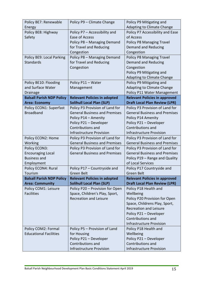| Policy BE7: Renewable            | Policy P9 - Climate Change           | Policy P9 Mitigating and             |
|----------------------------------|--------------------------------------|--------------------------------------|
| Energy                           |                                      | Adapting to Climate Change           |
| Policy BE8: Highway              | Policy P7 - Accessibility and        | Policy P7 Accessibility and Ease     |
| Safety                           | Ease of Access                       | of Access                            |
|                                  | Policy P8 - Managing Demand          | Policy P8 Managing Travel            |
|                                  | for Travel and Reducing              | <b>Demand and Reducing</b>           |
|                                  | Congestion                           | Congestion                           |
| Policy BE9: Local Parking        | Policy P8 - Managing Demand          | Policy P8 Managing Travel            |
| <b>Standards</b>                 | for Travel and Reducing              | Demand and Reducing                  |
|                                  | Congestion                           | Congestion                           |
|                                  |                                      | Policy P9 Mitigating and             |
|                                  |                                      | Adapting to Climate Change           |
| Policy BE10: Flooding            | Policy P11 - Water                   | Policy P9 Mitigating and             |
| and Surface Water                | Management                           | Adapting to Climate Change           |
| <b>Drainage</b>                  |                                      | Policy P11 Water Management          |
| <b>Balsall Parish NDP Policy</b> | <b>Relevant Policies in adopted</b>  | <b>Relevant Policies in approved</b> |
| <b>Area: Economy</b>             | <b>Solihull Local Plan (SLP)</b>     | <b>Draft Local Plan Review (LPR)</b> |
| Policy ECON1: Superfast          | Policy P3 Provision of Land for      | Policy P3 Provision of Land for      |
| <b>Broadband</b>                 | <b>General Business and Premises</b> | <b>General Business and Premises</b> |
|                                  | Policy P14 - Amenity                 | Policy P14 Amenity                   |
|                                  | Policy P21 - Developer               | Policy P21 - Developer               |
|                                  | Contributions and                    | Contributions and                    |
|                                  | <b>Infrastructure Provision</b>      | <b>Infrastructure Provision</b>      |
| Policy ECON2: Home               | Policy P3 Provision of Land for      | Policy P3 Provision of Land for      |
| Working                          | <b>General Business and Premises</b> | <b>General Business and Premises</b> |
| Policy ECON3:                    | Policy P3 Provision of Land for      | Policy P3 Provision of Land for      |
| <b>Encouraging Local</b>         | <b>General Business and Premises</b> | <b>General Business and Premises</b> |
| <b>Business and</b>              |                                      | Policy P19 - Range and Quality       |
| Employment                       |                                      | of Local Services                    |
| Policy ECON4: Rural              | Policy P17 - Countryside and         | Policy P17 Countryside and           |
| Tourism                          | Green Belt                           | <b>Green Belt</b>                    |
| <b>Balsall Parish NDP Policy</b> | <b>Relevant Policies in adopted</b>  | <b>Relevant Policies in approved</b> |
| <b>Area: Community</b>           | <b>Solihull Local Plan (SLP)</b>     | <b>Draft Local Plan Review (LPR)</b> |
| Policy COM1: Leisure             | Policy P20 - Provision for Open      | Policy P18 Health and                |
| <b>Facilities</b>                | Space, Children's Play, Sport,       | Wellbeing                            |
|                                  | <b>Recreation and Leisure</b>        | Policy P20 Provision for Open        |
|                                  |                                      | Space, Childrens Play, Sport,        |
|                                  |                                      | <b>Recreation and Leisure</b>        |
|                                  |                                      | Policy P21 - Developer               |
|                                  |                                      | Contributions and                    |
|                                  |                                      | <b>Infrastructure Provision</b>      |
| Policy COM2: Formal              | Policy P5 - Provision of Land        | Policy P18 Health and                |
| <b>Educational Facilities</b>    | for Housing                          | Wellbeing                            |
|                                  | Policy P21 - Developer               | Policy P21 - Developer               |
|                                  | Contributions and                    | Contributions and                    |
|                                  | <b>Infrastructure Provision</b>      | <b>Infrastructure Provision</b>      |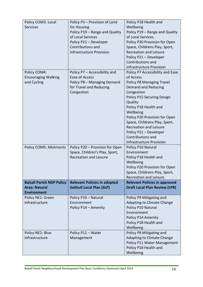| Policy COM3: Local               | Policy P5 - Provision of Land       | Policy P18 Health and                       |
|----------------------------------|-------------------------------------|---------------------------------------------|
| <b>Services</b>                  | for Housing                         | Wellbeing                                   |
|                                  | Policy P19 - Range and Quality      | Policy P19 - Range and Quality              |
|                                  | of Local Services                   | of Local Services                           |
|                                  | Policy P21 - Developer              | Policy P20 Provision for Open               |
|                                  | Contributions and                   | Space, Childrens Play, Sport,               |
|                                  | <b>Infrastructure Provision</b>     | <b>Recreation and Leisure</b>               |
|                                  |                                     |                                             |
|                                  |                                     | Policy P21 - Developer<br>Contributions and |
|                                  |                                     |                                             |
|                                  |                                     | <b>Infrastructure Provision</b>             |
| Policy COM4:                     | Policy P7 - Accessibility and       | Policy P7 Accessibility and Ease            |
| <b>Encouraging Walking</b>       | Ease of Access                      | of Access                                   |
| and Cycling                      | Policy P8 - Managing Demand         | Policy P8 Managing Travel                   |
|                                  | for Travel and Reducing             | Demand and Reducing                         |
|                                  | Congestion                          | Congestion                                  |
|                                  |                                     | Policy P15 Securing Design                  |
|                                  |                                     | Quality                                     |
|                                  |                                     | Policy P18 Health and                       |
|                                  |                                     | Wellbeing                                   |
|                                  |                                     | Policy P20 Provision for Open               |
|                                  |                                     | Space, Childrens Play, Sport,               |
|                                  |                                     | <b>Recreation and Leisure</b>               |
|                                  |                                     | Policy P21 - Developer                      |
|                                  |                                     | Contributions and                           |
|                                  |                                     | <b>Infrastructure Provision</b>             |
| <b>Policy COM5: Allotments</b>   | Policy P20 - Provision for Open     | Policy P10 Natural                          |
|                                  | Space, Children's Play, Sport,      | Environment                                 |
|                                  | <b>Recreation and Leisure</b>       | Policy P18 Health and                       |
|                                  |                                     |                                             |
|                                  |                                     |                                             |
|                                  |                                     | Wellbeing                                   |
|                                  |                                     | Policy P20 Provision for Open               |
|                                  |                                     | Space, Childrens Play, Sport,               |
|                                  |                                     | <b>Recreation and Leisure</b>               |
| <b>Balsall Parish NDP Policy</b> | <b>Relevant Policies in adopted</b> | <b>Relevant Policies in approved</b>        |
| <b>Area: Natural</b>             | <b>Solihull Local Plan (SLP)</b>    | <b>Draft Local Plan Review (LPR)</b>        |
| <b>Environment</b>               |                                     |                                             |
| Policy NE1: Green                | Policy P10 - Natural                | Policy P9 Mitigating and                    |
| Infrastructure                   | Environment                         | Adapting to Climate Change                  |
|                                  | Policy P14 - Amenity                | Policy P10 Natural                          |
|                                  |                                     | Environment                                 |
|                                  |                                     | Policy P14 Amenity                          |
|                                  |                                     | Policy P18 Health and                       |
|                                  |                                     | Wellbeing                                   |
| Policy NE2: Blue                 | Policy P11 - Water                  | Policy P9 Mitigating and                    |
| Infrastructure                   | Management                          | Adapting to Climate Change                  |
|                                  |                                     | Policy P11 Water Management                 |
|                                  |                                     | Policy P18 Health and<br>Wellbeing          |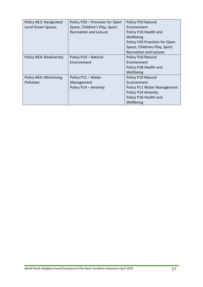| Policy NE3: Designated        | Policy P20 - Provision for Open | Policy P10 Natural            |
|-------------------------------|---------------------------------|-------------------------------|
| <b>Local Green Spaces</b>     | Space, Children's Play, Sport,  | Environment                   |
|                               | <b>Recreation and Leisure</b>   | Policy P18 Health and         |
|                               |                                 | Wellbeing                     |
|                               |                                 | Policy P20 Provision for Open |
|                               |                                 | Space, Childrens Play, Sport, |
|                               |                                 | <b>Recreation and Leisure</b> |
| Policy NE4: Biodiversity      | Policy P10 - Natural            | Policy P10 Natural            |
|                               | Environment                     | Environment                   |
|                               |                                 | Policy P18 Health and         |
|                               |                                 | Wellbeing                     |
| <b>Policy NE5: Minimising</b> | Policy P11 - Water              | Policy P10 Natural            |
| Pollution                     | Management                      | Environment                   |
|                               | Policy P14 - Amenity            | Policy P11 Water Management   |
|                               |                                 | Policy P14 Amenity            |
|                               |                                 | Policy P18 Health and         |
|                               |                                 | Wellbeing                     |